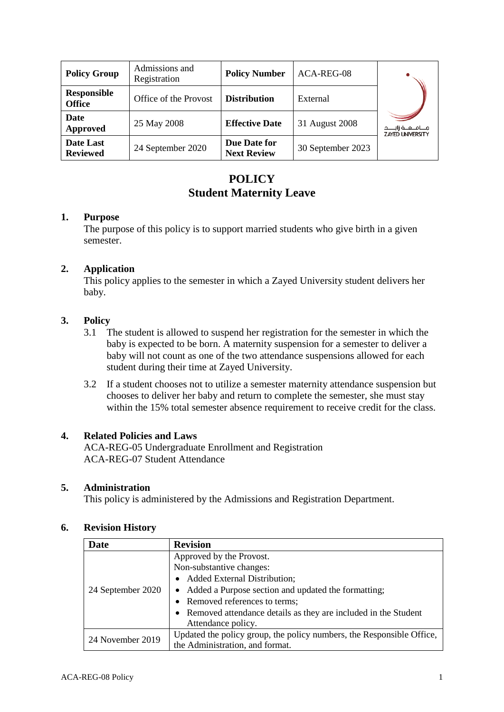| <b>Policy Group</b>                 | Admissions and<br>Registration | <b>Policy Number</b>               | ACA-REG-08        |                                                      |
|-------------------------------------|--------------------------------|------------------------------------|-------------------|------------------------------------------------------|
| <b>Responsible</b><br><b>Office</b> | Office of the Provost          | <b>Distribution</b>                | External          |                                                      |
| Date<br>Approved                    | 25 May 2008                    | <b>Effective Date</b>              | 31 August 2008    | جــــامـــعـــة زايـــــد<br><b>ZAYED UNIVERSITY</b> |
| Date Last<br><b>Reviewed</b>        | 24 September 2020              | Due Date for<br><b>Next Review</b> | 30 September 2023 |                                                      |

# **POLICY Student Maternity Leave**

#### **1. Purpose**

The purpose of this policy is to support married students who give birth in a given semester.

## **2. Application**

This policy applies to the semester in which a Zayed University student delivers her baby.

## **3. Policy**

- 3.1 The student is allowed to suspend her registration for the semester in which the baby is expected to be born. A maternity suspension for a semester to deliver a baby will not count as one of the two attendance suspensions allowed for each student during their time at Zayed University.
- 3.2 If a student chooses not to utilize a semester maternity attendance suspension but chooses to deliver her baby and return to complete the semester, she must stay within the 15% total semester absence requirement to receive credit for the class.

## **4. Related Policies and Laws**

ACA-REG-05 Undergraduate Enrollment and Registration ACA-REG-07 Student Attendance

#### **5. Administration**

This policy is administered by the Admissions and Registration Department.

## **6. Revision History**

| <b>Date</b>       | <b>Revision</b>                                                       |
|-------------------|-----------------------------------------------------------------------|
| 24 September 2020 | Approved by the Provost.                                              |
|                   | Non-substantive changes:                                              |
|                   | <b>Added External Distribution;</b><br>$\bullet$                      |
|                   | • Added a Purpose section and updated the formatting;                 |
|                   | • Removed references to terms;                                        |
|                   | • Removed attendance details as they are included in the Student      |
|                   | Attendance policy.                                                    |
| 24 November 2019  | Updated the policy group, the policy numbers, the Responsible Office, |
|                   | the Administration, and format.                                       |